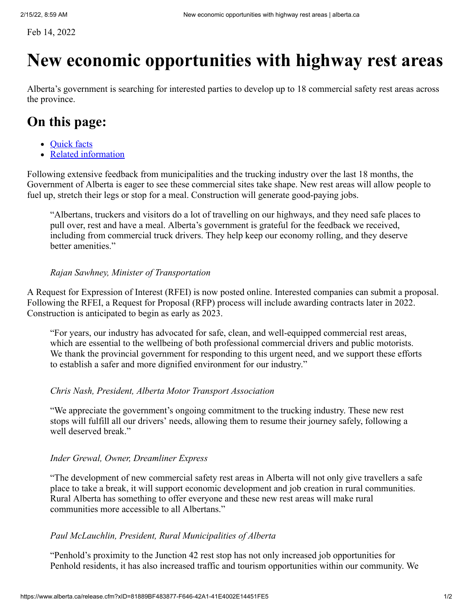Feb 14, 2022

## **New economic opportunities with highway rest areas**

Alberta's government is searching for interested parties to develop up to 18 commercial safety rest areas across the province.

## **On this page:**

- [Quick facts](https://www.alberta.ca/release.cfm?xID=81889BF483877-F646-42A1-41E4002E14451FE5#jumplinks-0)
- [Related information](https://www.alberta.ca/release.cfm?xID=81889BF483877-F646-42A1-41E4002E14451FE5#jumplinks-1)

Following extensive feedback from municipalities and the trucking industry over the last 18 months, the Government of Alberta is eager to see these commercial sites take shape. New rest areas will allow people to fuel up, stretch their legs or stop for a meal. Construction will generate good-paying jobs.

"Albertans, truckers and visitors do a lot of travelling on our highways, and they need safe places to pull over, rest and have a meal. Alberta's government is grateful for the feedback we received, including from commercial truck drivers. They help keep our economy rolling, and they deserve better amenities."

#### *Rajan Sawhney, Minister of Transportation*

A Request for Expression of Interest (RFEI) is now posted online. Interested companies can submit a proposal. Following the RFEI, a Request for Proposal (RFP) process will include awarding contracts later in 2022. Construction is anticipated to begin as early as 2023.

"For years, our industry has advocated for safe, clean, and well-equipped commercial rest areas, which are essential to the wellbeing of both professional commercial drivers and public motorists. We thank the provincial government for responding to this urgent need, and we support these efforts to establish a safer and more dignified environment for our industry."

#### *Chris Nash, President, Alberta Motor Transport Association*

"We appreciate the government's ongoing commitment to the trucking industry. These new rest stops will fulfill all our drivers' needs, allowing them to resume their journey safely, following a well deserved break."

#### *Inder Grewal, Owner, Dreamliner Express*

"The development of new commercial safety rest areas in Alberta will not only give travellers a safe place to take a break, it will support economic development and job creation in rural communities. Rural Alberta has something to offer everyone and these new rest areas will make rural communities more accessible to all Albertans."

#### *Paul McLauchlin, President, Rural Municipalities of Alberta*

"Penhold's proximity to the Junction 42 rest stop has not only increased job opportunities for Penhold residents, it has also increased traffic and tourism opportunities within our community. We